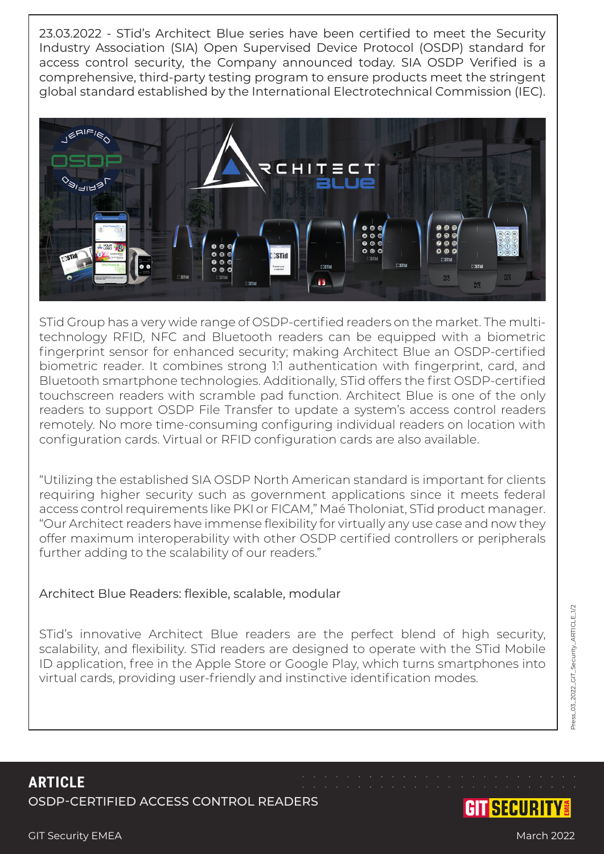23.03.2022 - STid's Architect Blue series have been certified to meet the Security Industry Association (SIA) Open Supervised Device Protocol (OSDP) standard for access control security, the Company announced today. SIA OSDP Verified is a comprehensive, third-party testing program to ensure products meet the stringent global standard established by the International Electrotechnical Commission (IEC).



STid Group has a very wide range of OSDP-certified readers on the market. The multitechnology RFID, NFC and Bluetooth readers can be equipped with a biometric fingerprint sensor for enhanced security; making Architect Blue an OSDP-certified biometric reader. It combines strong 1:1 authentication with fingerprint, card, and Bluetooth smartphone technologies. Additionally, STid offers the first OSDP-certified touchscreen readers with scramble pad function. Architect Blue is one of the only readers to support OSDP File Transfer to update a system's access control readers remotely. No more time-consuming configuring individual readers on location with configuration cards. Virtual or RFID configuration cards are also available.

"Utilizing the established SIA OSDP North American standard is important for clients requiring higher security such as government applications since it meets federal access control requirements like PKI or FICAM," Maé Tholoniat, STid product manager. "Our Architect readers have immense flexibility for virtually any use case and now they offer maximum interoperability with other OSDP certified controllers or peripherals further adding to the scalability of our readers."

## Architect Blue Readers: flexible, scalable, modular

STid's innovative Architect Blue readers are the perfect blend of high security, scalability, and flexibility. STid readers are designed to operate with the STid Mobile ID application, free in the Apple Store or Google Play, which turns smartphones into virtual cards, providing user-friendly and instinctive identification modes.

**ARTICLE** OSDP-CERTIFIED ACCESS CONTROL READERS

## GIT Security EMEA Match 2022

GITSECURITY